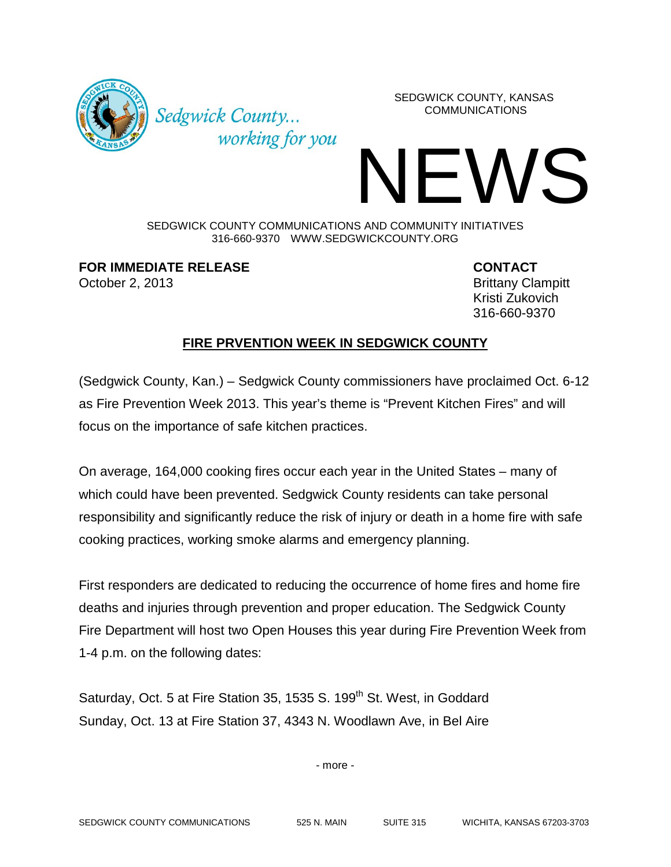

Sedgwick County... working for you SEDGWICK COUNTY, KANSAS COMMUNICATIONS

## IFWS

SEDGWICK COUNTY COMMUNICATIONS AND COMMUNITY INITIATIVES 316-660-9370 WWW.SEDGWICKCOUNTY.ORG

**FOR IMMEDIATE RELEASE CONTACT** October 2, 2013 **Brittany Clampitt** 

Kristi Zukovich 316-660-9370

## **FIRE PRVENTION WEEK IN SEDGWICK COUNTY**

(Sedgwick County, Kan.) – Sedgwick County commissioners have proclaimed Oct. 6-12 as Fire Prevention Week 2013. This year's theme is "Prevent Kitchen Fires" and will focus on the importance of safe kitchen practices.

On average, 164,000 cooking fires occur each year in the United States – many of which could have been prevented. Sedgwick County residents can take personal responsibility and significantly reduce the risk of injury or death in a home fire with safe cooking practices, working smoke alarms and emergency planning.

First responders are dedicated to reducing the occurrence of home fires and home fire deaths and injuries through prevention and proper education. The Sedgwick County Fire Department will host two Open Houses this year during Fire Prevention Week from 1-4 p.m. on the following dates:

Saturday, Oct. 5 at Fire Station 35, 1535 S. 199<sup>th</sup> St. West, in Goddard Sunday, Oct. 13 at Fire Station 37, 4343 N. Woodlawn Ave, in Bel Aire

- more -